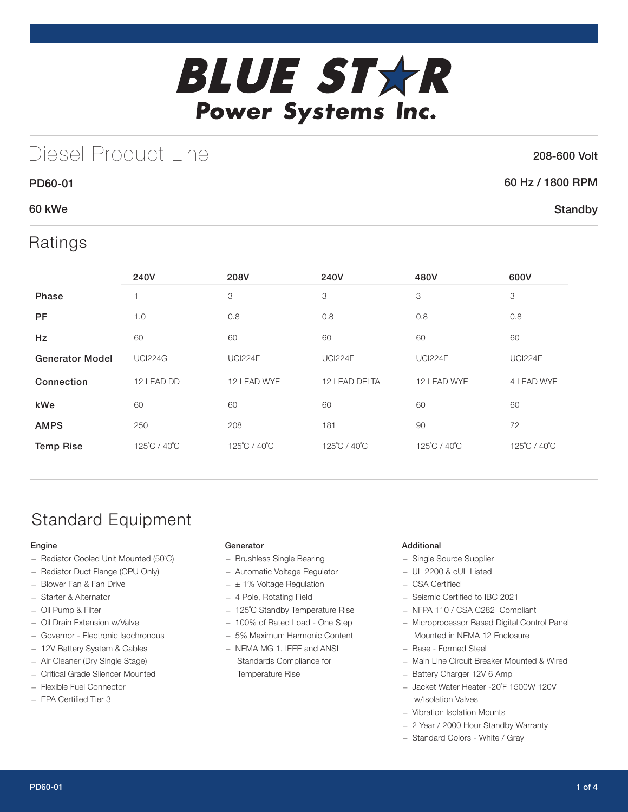

# Diesel Product Line

### 208-600 Volt

### PD60-01 60 Hz / 1800 RPM **Standby**

### 60 kWe

### Ratings

|                        | 240V           | 208V           | 240V           | 480V           | 600V           |
|------------------------|----------------|----------------|----------------|----------------|----------------|
| Phase                  |                | 3              | 3              | 3              | 3              |
| <b>PF</b>              | 1.0            | 0.8            | 0.8            | 0.8            | 0.8            |
| Hz                     | 60             | 60             | 60             | 60             | 60             |
| <b>Generator Model</b> | <b>UCI224G</b> | <b>UCI224F</b> | <b>UCI224F</b> | <b>UCI224E</b> | <b>UCI224E</b> |
| Connection             | 12 LEAD DD     | 12 LEAD WYE    | 12 LEAD DELTA  | 12 LEAD WYE    | 4 LEAD WYE     |
| kWe                    | 60             | 60             | 60             | 60             | 60             |
| <b>AMPS</b>            | 250            | 208            | 181            | 90             | 72             |
| <b>Temp Rise</b>       | 125°C / 40°C   | 125°C / 40°C   | 125°C / 40°C   | 125°C / 40°C   | 125°C / 40°C   |

## Standard Equipment

#### Engine

- Radiator Cooled Unit Mounted (50˚C)
- Radiator Duct Flange (OPU Only)
- Blower Fan & Fan Drive
- Starter & Alternator
- Oil Pump & Filter
- Oil Drain Extension w/Valve
- Governor Electronic Isochronous
- 12V Battery System & Cables
- Air Cleaner (Dry Single Stage)
- Critical Grade Silencer Mounted
- Flexible Fuel Connector
- EPA Certified Tier 3

#### Generator

- Brushless Single Bearing
- Automatic Voltage Regulator
- $\pm$  1% Voltage Regulation
- 4 Pole, Rotating Field
- 125˚C Standby Temperature Rise
- 100% of Rated Load One Step
- 5% Maximum Harmonic Content
- NEMA MG 1, IEEE and ANSI Standards Compliance for Temperature Rise

#### Additional

- Single Source Supplier
- UL 2200 & cUL Listed
- CSA Certified
- Seismic Certified to IBC 2021
- NFPA 110 / CSA C282 Compliant
- Microprocessor Based Digital Control Panel Mounted in NEMA 12 Enclosure
- Base Formed Steel
- Main Line Circuit Breaker Mounted & Wired
- Battery Charger 12V 6 Amp
- Jacket Water Heater -20˚F 1500W 120V w/Isolation Valves
- Vibration Isolation Mounts
- 2 Year / 2000 Hour Standby Warranty
- Standard Colors White / Gray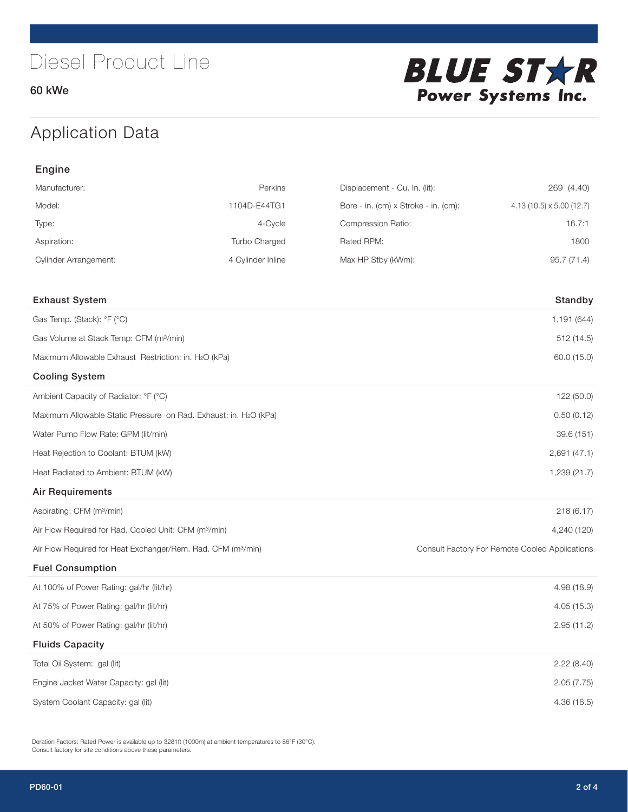

## Application Data

| Engine                                                                   |                   |                                      |                                                |  |
|--------------------------------------------------------------------------|-------------------|--------------------------------------|------------------------------------------------|--|
| Manufacturer:                                                            | Perkins           | Displacement - Cu. In. (lit):        | 269 (4.40)                                     |  |
| Model:                                                                   | 1104D-E44TG1      | Bore - in. (cm) x Stroke - in. (cm): | $4.13(10.5) \times 5.00(12.7)$                 |  |
| Type:                                                                    | 4-Cycle           | Compression Ratio:                   | 16.7:1                                         |  |
| Aspiration:                                                              | Turbo Charged     | Rated RPM:                           | 1800                                           |  |
| <b>Cylinder Arrangement:</b>                                             | 4 Cylinder Inline | Max HP Stby (kWm):                   | 95.7 (71.4)                                    |  |
|                                                                          |                   |                                      |                                                |  |
| <b>Exhaust System</b>                                                    |                   |                                      | Standby                                        |  |
| Gas Temp. (Stack): °F (°C)                                               |                   |                                      | 1,191 (644)                                    |  |
| Gas Volume at Stack Temp: CFM (m <sup>3</sup> /min)                      |                   |                                      | 512(14.5)                                      |  |
| Maximum Allowable Exhaust Restriction: in. H2O (kPa)                     |                   |                                      | 60.0 (15.0)                                    |  |
| <b>Cooling System</b>                                                    |                   |                                      |                                                |  |
| Ambient Capacity of Radiator: °F (°C)                                    |                   |                                      | 122 (50.0)                                     |  |
| Maximum Allowable Static Pressure on Rad. Exhaust: in. H2O (kPa)         |                   | 0.50(0.12)                           |                                                |  |
| Water Pump Flow Rate: GPM (lit/min)                                      |                   |                                      | 39.6 (151)                                     |  |
| Heat Rejection to Coolant: BTUM (kW)                                     |                   |                                      | 2,691(47.1)                                    |  |
| Heat Radiated to Ambient: BTUM (kW)                                      |                   |                                      | 1,239 (21.7)                                   |  |
| <b>Air Requirements</b>                                                  |                   |                                      |                                                |  |
| Aspirating: CFM (m <sup>3</sup> /min)                                    |                   |                                      | 218(6.17)                                      |  |
| Air Flow Required for Rad. Cooled Unit: CFM (m <sup>3</sup> /min)        |                   |                                      | 4,240 (120)                                    |  |
| Air Flow Required for Heat Exchanger/Rem. Rad. CFM (m <sup>3</sup> /min) |                   |                                      | Consult Factory For Remote Cooled Applications |  |
| <b>Fuel Consumption</b>                                                  |                   |                                      |                                                |  |
| At 100% of Power Rating: gal/hr (lit/hr)                                 |                   |                                      | 4.98(18.9)                                     |  |
| At 75% of Power Rating: gal/hr (lit/hr)                                  |                   |                                      | 4.05 (15.3)                                    |  |
| At 50% of Power Rating: gal/hr (lit/hr)                                  |                   |                                      | 2.95(11.2)                                     |  |
| <b>Fluids Capacity</b>                                                   |                   |                                      |                                                |  |
| Total Oil System: gal (lit)                                              |                   |                                      | 2.22(8.40)                                     |  |
| Engine Jacket Water Capacity: gal (lit)                                  |                   |                                      | 2.05(7.75)                                     |  |
| System Coolant Capacity: gal (lit)                                       |                   |                                      | 4.36(16.5)                                     |  |

Deration Factors: Rated Power is available up to 3281ft (1000m) at ambient temperatures to 86°F (30°C). Consult factory for site conditions above these parameters.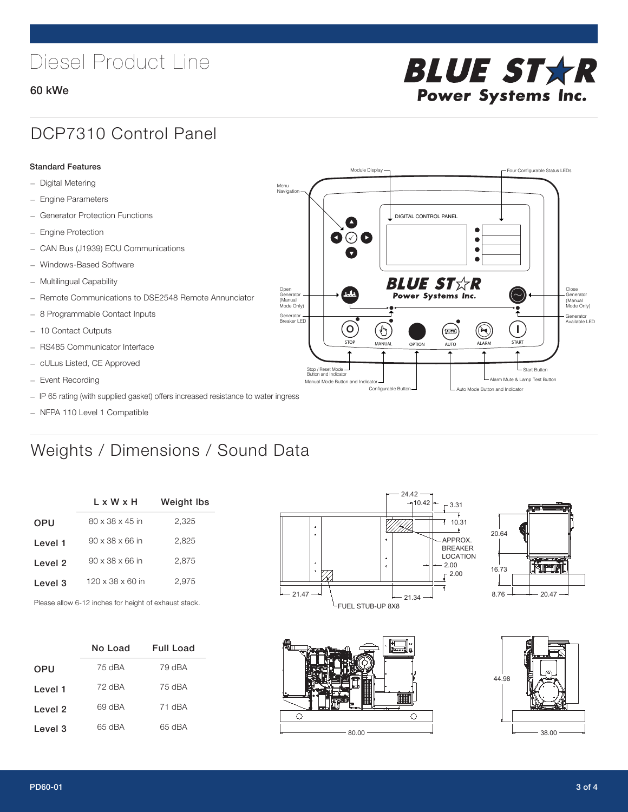# Diesel Product Line

#### 60 kWe



### DCP7310 Control Panel

#### Standard Features

- Digital Metering
- Engine Parameters
- Generator Protection Functions
- Engine Protection
- CAN Bus (J1939) ECU Communications
- Windows-Based Software
- Multilingual Capability
- Remote Communications to DSE2548 Remote Annunciator
- 8 Programmable Contact Inputs
- 10 Contact Outputs
- RS485 Communicator Interface
- cULus Listed, CE Approved
- Event Recording
- IP 65 rating (with supplied gasket) offers increased resistance to water ingress
- NFPA 110 Level 1 Compatible

### Weights / Dimensions / Sound Data

|            | L x W x H                    | <b>Weight lbs</b> |
|------------|------------------------------|-------------------|
| <b>OPU</b> | $80 \times 38 \times 45$ in  | 2,325             |
| Level 1    | $90 \times 38 \times 66$ in  | 2.825             |
| Level 2    | $90 \times 38 \times 66$ in  | 2,875             |
| Level 3    | $120 \times 38 \times 60$ in | 2.975             |
|            |                              |                   |

Please allow 6-12 inches for height of exhaust stack.

|         | No Load | Full Load |
|---------|---------|-----------|
| OPU     | 75 dBA  | 79 dBA    |
| Level 1 | 72 dBA  | 75 dBA    |
| Level 2 | 69 dBA  | 71 dBA    |
| Level 3 | 65 dBA  | 65 dBA    |



STOP MANUAL OPTION AUTO ALARM START

[AUTO]

**BLUE STAR** Power Systems Inc.

Manual Mode Button and Indicator Sultane Mute & Lamp Test Button Mute & Lamp Test Button Mute & Lamp Test Button Configurable Button -  $\Box$  Auto Mode Button and Indicator

DIGITAL CONTROL PANEL

Module Display  $\Box$ 

 $\bullet$  $\bullet$  $\bullet$ 

 $\circledcirc$ 

Menu<br>Navigation

Open Generator (Manual Mode Only)

Generator Breaker LED

Stop / Reset Mode Button and Indicator

 $\bullet$  $\bullet$   $\circ$   $\bullet$ 

 $\sigma$ 

՟Պ



L Start Button

 $\blacksquare$ 

Close Generator (Manual Mode Only)

Generator Available LED